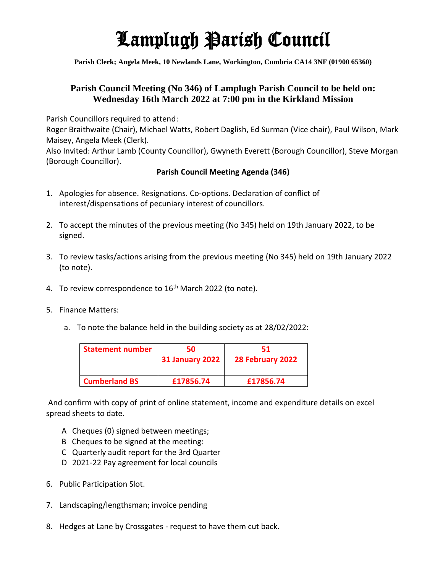# Lamplugh Parish Council

**Parish Clerk; Angela Meek, 10 Newlands Lane, Workington, Cumbria CA14 3NF (01900 65360)**

### **Parish Council Meeting (No 346) of Lamplugh Parish Council to be held on: Wednesday 16th March 2022 at 7:00 pm in the Kirkland Mission**

Parish Councillors required to attend:

Roger Braithwaite (Chair), Michael Watts, Robert Daglish, Ed Surman (Vice chair), Paul Wilson, Mark Maisey, Angela Meek (Clerk).

Also Invited: Arthur Lamb (County Councillor), Gwyneth Everett (Borough Councillor), Steve Morgan (Borough Councillor).

### **Parish Council Meeting Agenda (346)**

- 1. Apologies for absence. Resignations. Co-options. Declaration of conflict of interest/dispensations of pecuniary interest of councillors.
- 2. To accept the minutes of the previous meeting (No 345) held on 19th January 2022, to be signed.
- 3. To review tasks/actions arising from the previous meeting (No 345) held on 19th January 2022 (to note).
- 4. To review correspondence to 16<sup>th</sup> March 2022 (to note).
- 5. Finance Matters:
	- a. To note the balance held in the building society as at 28/02/2022:

| <b>Statement number</b> | 50.<br><b>31 January 2022</b> | 51<br>28 February 2022 |
|-------------------------|-------------------------------|------------------------|
| <b>Cumberland BS</b>    | £17856.74                     | £17856.74              |

And confirm with copy of print of online statement, income and expenditure details on excel spread sheets to date.

- A Cheques (0) signed between meetings;
- B Cheques to be signed at the meeting:
- C Quarterly audit report for the 3rd Quarter
- D 2021-22 Pay agreement for local councils
- 6. Public Participation Slot.
- 7. Landscaping/lengthsman; invoice pending
- 8. Hedges at Lane by Crossgates request to have them cut back.